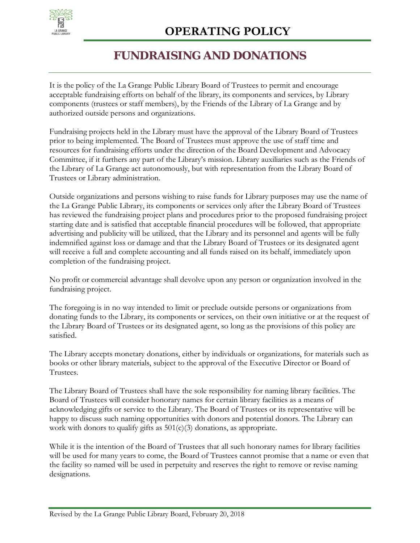

## **FUNDRAISING AND DONATIONS**

It is the policy of the La Grange Public Library Board of Trustees to permit and encourage acceptable fundraising efforts on behalf of the library, its components and services, by Library components (trustees or staff members), by the Friends of the Library of La Grange and by authorized outside persons and organizations.

Fundraising projects held in the Library must have the approval of the Library Board of Trustees prior to being implemented. The Board of Trustees must approve the use of staff time and resources for fundraising efforts under the direction of the Board Development and Advocacy Committee, if it furthers any part of the Library's mission. Library auxiliaries such as the Friends of the Library of La Grange act autonomously, but with representation from the Library Board of Trustees or Library administration.

Outside organizations and persons wishing to raise funds for Library purposes may use the name of the La Grange Public Library, its components or services only after the Library Board of Trustees has reviewed the fundraising project plans and procedures prior to the proposed fundraising project starting date and is satisfied that acceptable financial procedures will be followed, that appropriate advertising and publicity will be utilized, that the Library and its personnel and agents will be fully indemnified against loss or damage and that the Library Board of Trustees or its designated agent will receive a full and complete accounting and all funds raised on its behalf, immediately upon completion of the fundraising project.

No profit or commercial advantage shall devolve upon any person or organization involved in the fundraising project.

The foregoing is in no way intended to limit or preclude outside persons or organizations from donating funds to the Library, its components or services, on their own initiative or at the request of the Library Board of Trustees or its designated agent, so long as the provisions of this policy are satisfied.

The Library accepts monetary donations, either by individuals or organizations, for materials such as books or other library materials, subject to the approval of the Executive Director or Board of Trustees.

The Library Board of Trustees shall have the sole responsibility for naming library facilities. The Board of Trustees will consider honorary names for certain library facilities as a means of acknowledging gifts or service to the Library. The Board of Trustees or its representative will be happy to discuss such naming opportunities with donors and potential donors. The Library can work with donors to qualify gifts as  $501(c)(3)$  donations, as appropriate.

While it is the intention of the Board of Trustees that all such honorary names for library facilities will be used for many years to come, the Board of Trustees cannot promise that a name or even that the facility so named will be used in perpetuity and reserves the right to remove or revise naming designations.